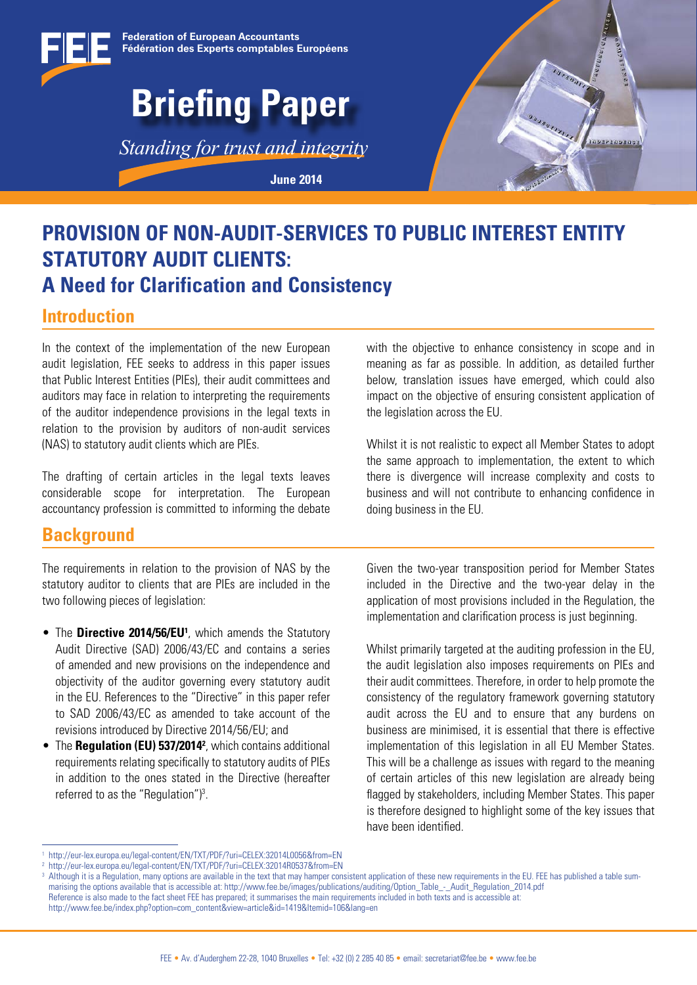

### **PROVISION OF NON-AUDIT-SERVICES TO PUBLIC INTEREST ENTITY STATUTORY AUDIT CLIENTS: A Need for Clarification and Consistency**

### **Introduction**

In the context of the implementation of the new European audit legislation, FEE seeks to address in this paper issues that Public Interest Entities (PIEs), their audit committees and auditors may face in relation to interpreting the requirements of the auditor independence provisions in the legal texts in relation to the provision by auditors of non-audit services (NAS) to statutory audit clients which are PIEs.

The drafting of certain articles in the legal texts leaves considerable scope for interpretation. The European accountancy profession is committed to informing the debate

### **Background**

The requirements in relation to the provision of NAS by the statutory auditor to clients that are PIEs are included in the two following pieces of legislation:

- The **Directive 2014/56/EU<sup>1</sup>**, which amends the Statutory Audit Directive (SAD) 2006/43/EC and contains a series of amended and new provisions on the independence and objectivity of the auditor governing every statutory audit in the EU. References to the "Directive" in this paper refer to SAD 2006/43/EC as amended to take account of the revisions introduced by Directive 2014/56/EU; and
- The **Regulation (EU) 537/20142** , which contains additional requirements relating specifically to statutory audits of PIEs in addition to the ones stated in the Directive (hereafter referred to as the "Regulation")<sup>3</sup>.

with the objective to enhance consistency in scope and in meaning as far as possible. In addition, as detailed further below, translation issues have emerged, which could also impact on the objective of ensuring consistent application of the legislation across the EU.

**TODEPEQUEDE** 

Whilst it is not realistic to expect all Member States to adopt the same approach to implementation, the extent to which there is divergence will increase complexity and costs to business and will not contribute to enhancing confidence in doing business in the EU.

Given the two-year transposition period for Member States included in the Directive and the two-year delay in the application of most provisions included in the Regulation, the implementation and clarification process is just beginning.

Whilst primarily targeted at the auditing profession in the EU, the audit legislation also imposes requirements on PIEs and their audit committees. Therefore, in order to help promote the consistency of the regulatory framework governing statutory audit across the EU and to ensure that any burdens on business are minimised, it is essential that there is effective implementation of this legislation in all EU Member States. This will be a challenge as issues with regard to the meaning of certain articles of this new legislation are already being flagged by stakeholders, including Member States. This paper is therefore designed to highlight some of the key issues that have been identified.

<sup>1</sup> http://eur-lex.europa.eu/legal-content/EN/TXT/PDF/?uri=CELEX:32014L0056&from=EN

<sup>2</sup> http://eur-lex.europa.eu/legal-content/EN/TXT/PDF/?uri=CELEX:32014R0537&from=EN

<sup>&</sup>lt;sup>3</sup> Although it is a Regulation, many options are available in the text that may hamper consistent application of these new requirements in the EU. FEE has published a table summarising the options available that is accessible at: http://www.fee.be/images/publications/auditing/Option\_Table - Audit\_Regulation\_2014.pdf Reference is also made to the fact sheet FEE has prepared; it summarises the main requirements included in both texts and is accessible at:

http://www.fee.be/index.php?option=com\_content&view=article&id=1419&Itemid=106&lang=en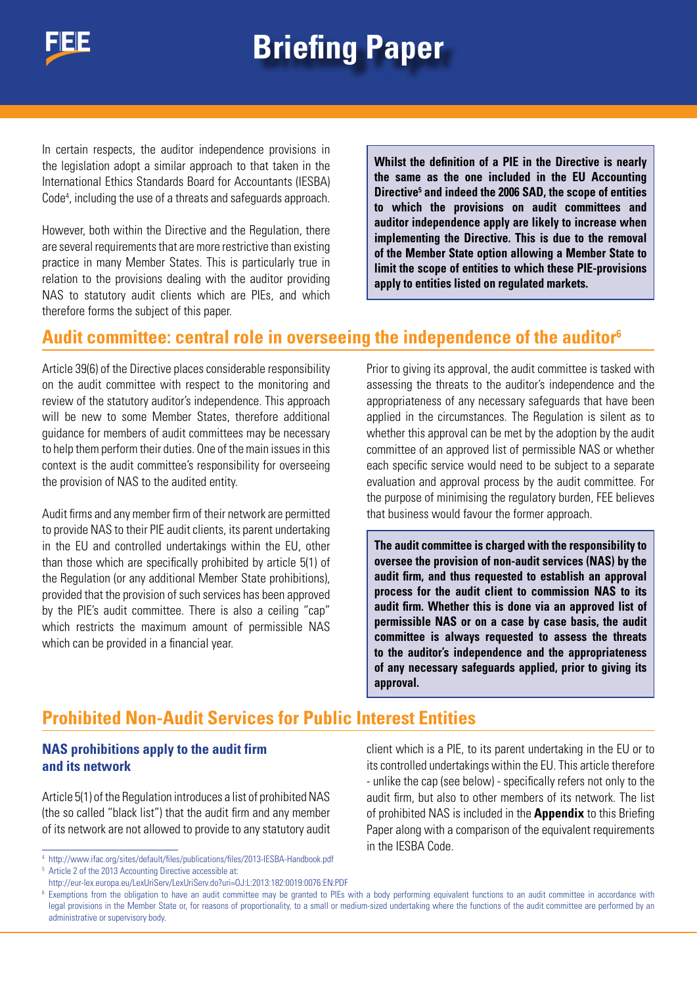

In certain respects, the auditor independence provisions in the legislation adopt a similar approach to that taken in the International Ethics Standards Board for Accountants (IESBA) Code<sup>4</sup>, including the use of a threats and safeguards approach.

However, both within the Directive and the Regulation, there are several requirements that are more restrictive than existing practice in many Member States. This is particularly true in relation to the provisions dealing with the auditor providing NAS to statutory audit clients which are PIEs, and which therefore forms the subject of this paper.

**Whilst the definition of a PIE in the Directive is nearly the same as the one included in the EU Accounting Directive5 and indeed the 2006 SAD, the scope of entities to which the provisions on audit committees and auditor independence apply are likely to increase when implementing the Directive. This is due to the removal of the Member State option allowing a Member State to limit the scope of entities to which these PIE-provisions apply to entities listed on regulated markets.**

### **Audit committee: central role in overseeing the independence of the auditor6**

Article 39(6) of the Directive places considerable responsibility on the audit committee with respect to the monitoring and review of the statutory auditor's independence. This approach will be new to some Member States, therefore additional guidance for members of audit committees may be necessary to help them perform their duties. One of the main issues in this context is the audit committee's responsibility for overseeing the provision of NAS to the audited entity.

Audit firms and any member firm of their network are permitted to provide NAS to their PIE audit clients, its parent undertaking in the EU and controlled undertakings within the EU, other than those which are specifically prohibited by article 5(1) of the Regulation (or any additional Member State prohibitions), provided that the provision of such services has been approved by the PIE's audit committee. There is also a ceiling "cap" which restricts the maximum amount of permissible NAS which can be provided in a financial year.

Prior to giving its approval, the audit committee is tasked with assessing the threats to the auditor's independence and the appropriateness of any necessary safeguards that have been applied in the circumstances. The Regulation is silent as to whether this approval can be met by the adoption by the audit committee of an approved list of permissible NAS or whether each specific service would need to be subject to a separate evaluation and approval process by the audit committee. For the purpose of minimising the regulatory burden, FEE believes that business would favour the former approach.

**The audit committee is charged with the responsibility to oversee the provision of non-audit services (NAS) by the audit firm, and thus requested to establish an approval process for the audit client to commission NAS to its audit firm. Whether this is done via an approved list of permissible NAS or on a case by case basis, the audit committee is always requested to assess the threats to the auditor's independence and the appropriateness of any necessary safeguards applied, prior to giving its approval.**

### **Prohibited Non-Audit Services for Public Interest Entities**

#### **NAS prohibitions apply to the audit firm and its network**

Article 5(1) of the Regulation introduces a list of prohibited NAS (the so called "black list") that the audit firm and any member of its network are not allowed to provide to any statutory audit

<sup>4</sup> http://www.ifac.org/sites/default/files/publications/files/2013-IESBA-Handbook.pdf <sup>5</sup> Article 2 of the 2013 Accounting Directive accessible at:

http://eur-lex.europa.eu/LexUriServ/LexUriServ.do?uri=OJ:L:2013:182:0019:0076:EN:PDF

client which is a PIE, to its parent undertaking in the EU or to its controlled undertakings within the EU. This article therefore - unlike the cap (see below) - specifically refers not only to the audit firm, but also to other members of its network. The list of prohibited NAS is included in the **Appendix** to this Briefing Paper along with a comparison of the equivalent requirements in the IESBA Code.

<sup>&</sup>lt;sup>6</sup> Exemptions from the obligation to have an audit committee may be granted to PIEs with a body performing equivalent functions to an audit committee in accordance with legal provisions in the Member State or, for reasons of proportionality, to a small or medium-sized undertaking where the functions of the audit committee are performed by an administrative or supervisory body.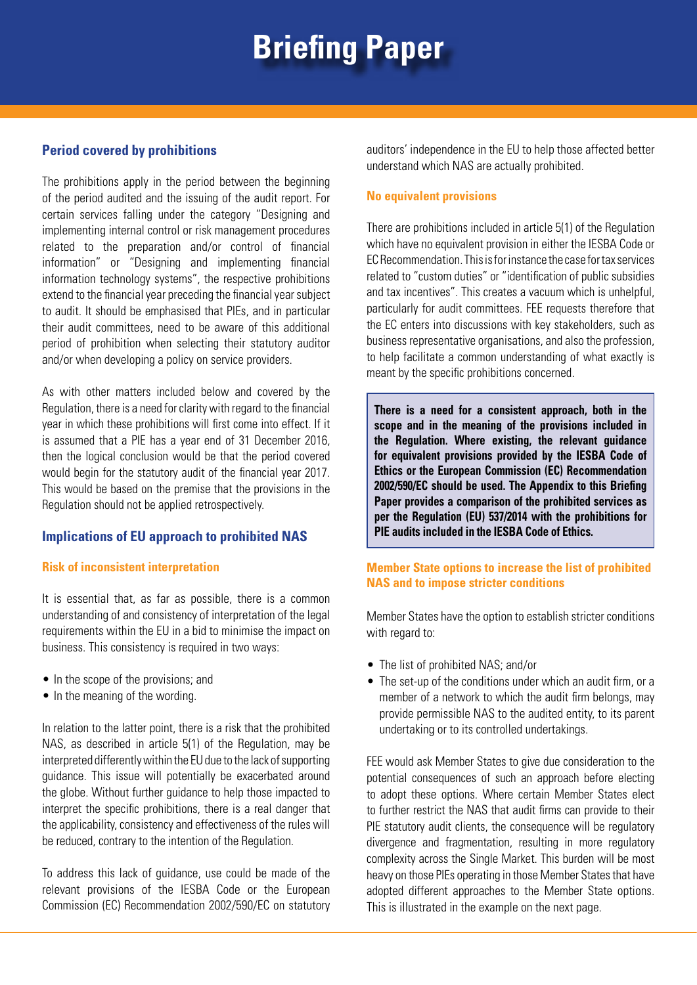#### **Period covered by prohibitions**

The prohibitions apply in the period between the beginning of the period audited and the issuing of the audit report. For certain services falling under the category "Designing and implementing internal control or risk management procedures related to the preparation and/or control of financial information" or "Designing and implementing financial information technology systems", the respective prohibitions extend to the financial year preceding the financial year subject to audit. It should be emphasised that PIEs, and in particular their audit committees, need to be aware of this additional period of prohibition when selecting their statutory auditor and/or when developing a policy on service providers.

As with other matters included below and covered by the Regulation, there is a need for clarity with regard to the financial year in which these prohibitions will first come into effect. If it is assumed that a PIE has a year end of 31 December 2016, then the logical conclusion would be that the period covered would begin for the statutory audit of the financial year 2017. This would be based on the premise that the provisions in the Regulation should not be applied retrospectively.

#### **Implications of EU approach to prohibited NAS**

#### **Risk of inconsistent interpretation**

It is essential that, as far as possible, there is a common understanding of and consistency of interpretation of the legal requirements within the EU in a bid to minimise the impact on business. This consistency is required in two ways:

- In the scope of the provisions; and
- In the meaning of the wording.

In relation to the latter point, there is a risk that the prohibited NAS, as described in article 5(1) of the Regulation, may be interpreted differently within the EU due to the lack of supporting guidance. This issue will potentially be exacerbated around the globe. Without further guidance to help those impacted to interpret the specific prohibitions, there is a real danger that the applicability, consistency and effectiveness of the rules will be reduced, contrary to the intention of the Regulation.

To address this lack of guidance, use could be made of the relevant provisions of the IESBA Code or the European Commission (EC) Recommendation 2002/590/EC on statutory auditors' independence in the EU to help those affected better understand which NAS are actually prohibited.

#### **No equivalent provisions**

There are prohibitions included in article 5(1) of the Regulation which have no equivalent provision in either the IESBA Code or EC Recommendation. This is for instance the case for tax services related to "custom duties" or "identification of public subsidies and tax incentives". This creates a vacuum which is unhelpful, particularly for audit committees. FEE requests therefore that the EC enters into discussions with key stakeholders, such as business representative organisations, and also the profession, to help facilitate a common understanding of what exactly is meant by the specific prohibitions concerned.

**There is a need for a consistent approach, both in the scope and in the meaning of the provisions included in the Regulation. Where existing, the relevant guidance for equivalent provisions provided by the IESBA Code of Ethics or the European Commission (EC) Recommendation 2002/590/EC should be used. The Appendix to this Briefing Paper provides a comparison of the prohibited services as per the Regulation (EU) 537/2014 with the prohibitions for PIE audits included in the IESBA Code of Ethics.**

#### **Member State options to increase the list of prohibited NAS and to impose stricter conditions**

Member States have the option to establish stricter conditions with regard to:

- The list of prohibited NAS; and/or
- The set-up of the conditions under which an audit firm, or a member of a network to which the audit firm belongs, may provide permissible NAS to the audited entity, to its parent undertaking or to its controlled undertakings.

FEE would ask Member States to give due consideration to the potential consequences of such an approach before electing to adopt these options. Where certain Member States elect to further restrict the NAS that audit firms can provide to their PIE statutory audit clients, the consequence will be regulatory divergence and fragmentation, resulting in more regulatory complexity across the Single Market. This burden will be most heavy on those PIEs operating in those Member States that have adopted different approaches to the Member State options. This is illustrated in the example on the next page.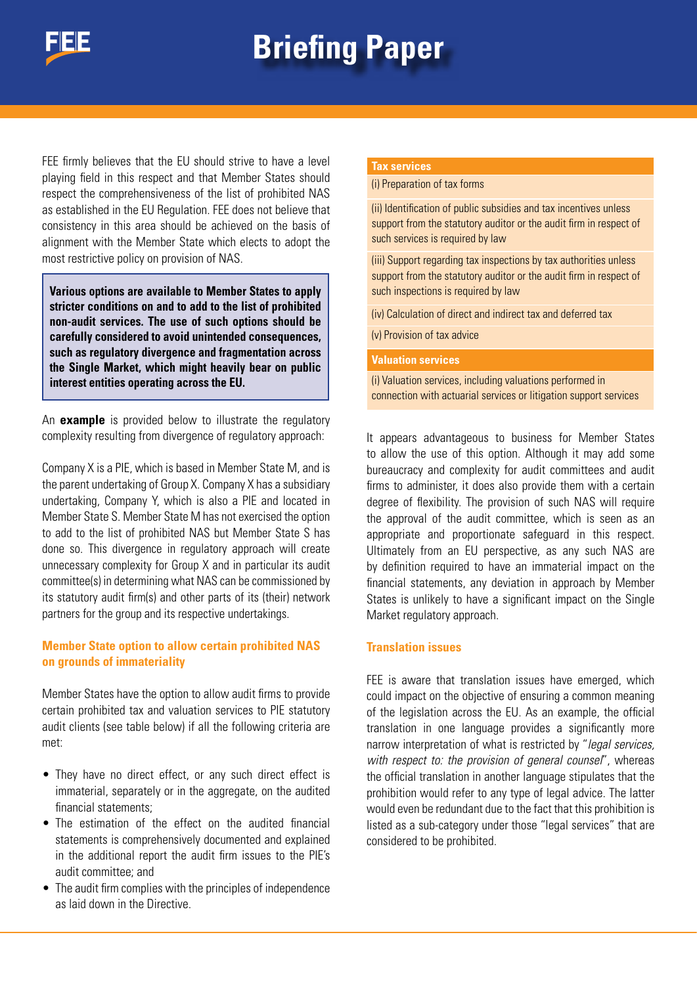

FEE firmly believes that the EU should strive to have a level playing field in this respect and that Member States should respect the comprehensiveness of the list of prohibited NAS as established in the EU Regulation. FEE does not believe that consistency in this area should be achieved on the basis of alignment with the Member State which elects to adopt the most restrictive policy on provision of NAS.

**Various options are available to Member States to apply stricter conditions on and to add to the list of prohibited non-audit services. The use of such options should be carefully considered to avoid unintended consequences, such as regulatory divergence and fragmentation across the Single Market, which might heavily bear on public interest entities operating across the EU.**

An **example** is provided below to illustrate the regulatory complexity resulting from divergence of regulatory approach:

Company X is a PIE, which is based in Member State M, and is the parent undertaking of Group X. Company X has a subsidiary undertaking, Company Y, which is also a PIE and located in Member State S. Member State M has not exercised the option to add to the list of prohibited NAS but Member State S has done so. This divergence in regulatory approach will create unnecessary complexity for Group X and in particular its audit committee(s) in determining what NAS can be commissioned by its statutory audit firm(s) and other parts of its (their) network partners for the group and its respective undertakings.

#### **Member State option to allow certain prohibited NAS on grounds of immateriality**

Member States have the option to allow audit firms to provide certain prohibited tax and valuation services to PIE statutory audit clients (see table below) if all the following criteria are met:

- They have no direct effect, or any such direct effect is immaterial, separately or in the aggregate, on the audited financial statements;
- The estimation of the effect on the audited financial statements is comprehensively documented and explained in the additional report the audit firm issues to the PIE's audit committee; and
- The audit firm complies with the principles of independence as laid down in the Directive.

#### **Tax services**

(i) Preparation of tax forms

(ii) Identification of public subsidies and tax incentives unless support from the statutory auditor or the audit firm in respect of such services is required by law

(iii) Support regarding tax inspections by tax authorities unless support from the statutory auditor or the audit firm in respect of such inspections is required by law

(iv) Calculation of direct and indirect tax and deferred tax

(v) Provision of tax advice

**Valuation services**

(i) Valuation services, including valuations performed in connection with actuarial services or litigation support services

It appears advantageous to business for Member States to allow the use of this option. Although it may add some bureaucracy and complexity for audit committees and audit firms to administer, it does also provide them with a certain degree of flexibility. The provision of such NAS will require the approval of the audit committee, which is seen as an appropriate and proportionate safeguard in this respect. Ultimately from an EU perspective, as any such NAS are by definition required to have an immaterial impact on the financial statements, any deviation in approach by Member States is unlikely to have a significant impact on the Single Market regulatory approach.

#### **Translation issues**

FEE is aware that translation issues have emerged, which could impact on the objective of ensuring a common meaning of the legislation across the EU. As an example, the official translation in one language provides a significantly more narrow interpretation of what is restricted by "*legal services, with respect to: the provision of general counsel*", whereas the official translation in another language stipulates that the prohibition would refer to any type of legal advice. The latter would even be redundant due to the fact that this prohibition is listed as a sub-category under those "legal services" that are considered to be prohibited.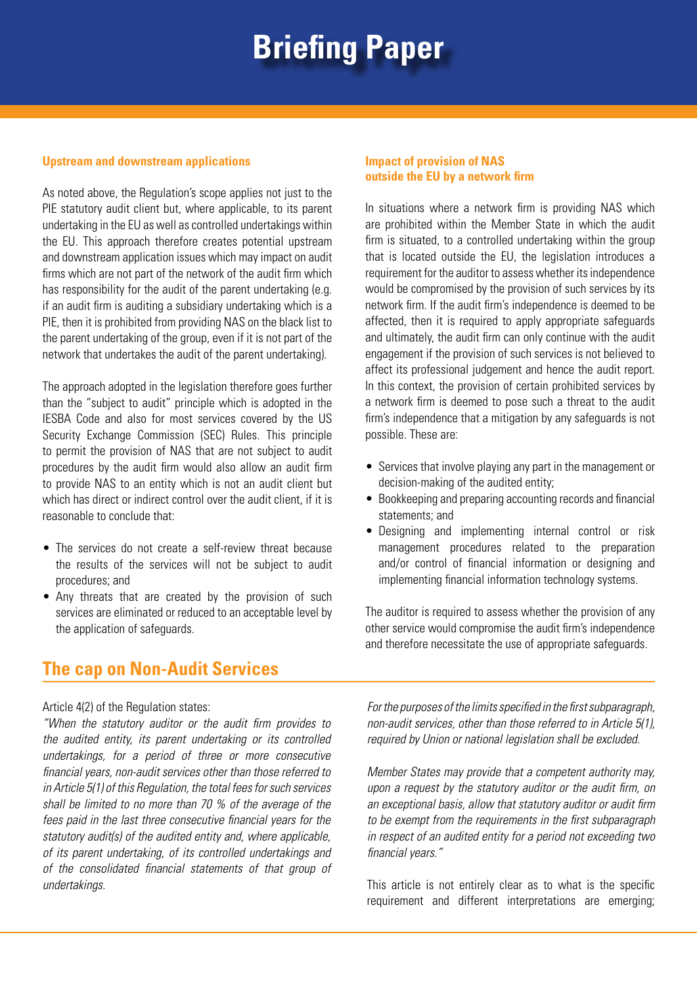#### **Upstream and downstream applications**

As noted above, the Regulation's scope applies not just to the PIE statutory audit client but, where applicable, to its parent undertaking in the EU as well as controlled undertakings within the EU. This approach therefore creates potential upstream and downstream application issues which may impact on audit firms which are not part of the network of the audit firm which has responsibility for the audit of the parent undertaking (e.g. if an audit firm is auditing a subsidiary undertaking which is a PIE, then it is prohibited from providing NAS on the black list to the parent undertaking of the group, even if it is not part of the network that undertakes the audit of the parent undertaking).

The approach adopted in the legislation therefore goes further than the "subject to audit" principle which is adopted in the IESBA Code and also for most services covered by the US Security Exchange Commission (SEC) Rules. This principle to permit the provision of NAS that are not subject to audit procedures by the audit firm would also allow an audit firm to provide NAS to an entity which is not an audit client but which has direct or indirect control over the audit client, if it is reasonable to conclude that:

- The services do not create a self-review threat because the results of the services will not be subject to audit procedures; and
- Any threats that are created by the provision of such services are eliminated or reduced to an acceptable level by the application of safeguards.

### **The cap on Non-Audit Services**

#### Article 4(2) of the Regulation states:

*"When the statutory auditor or the audit firm provides to the audited entity, its parent undertaking or its controlled undertakings, for a period of three or more consecutive financial years, non-audit services other than those referred to in Article 5(1) of this Regulation, the total fees for such services shall be limited to no more than 70 % of the average of the fees paid in the last three consecutive financial years for the statutory audit(s) of the audited entity and, where applicable, of its parent undertaking, of its controlled undertakings and of the consolidated financial statements of that group of undertakings.*

#### **Impact of provision of NAS outside the EU by a network firm**

In situations where a network firm is providing NAS which are prohibited within the Member State in which the audit firm is situated, to a controlled undertaking within the group that is located outside the EU, the legislation introduces a requirement for the auditor to assess whether its independence would be compromised by the provision of such services by its network firm. If the audit firm's independence is deemed to be affected, then it is required to apply appropriate safeguards and ultimately, the audit firm can only continue with the audit engagement if the provision of such services is not believed to affect its professional judgement and hence the audit report. In this context, the provision of certain prohibited services by a network firm is deemed to pose such a threat to the audit firm's independence that a mitigation by any safeguards is not possible. These are:

- Services that involve playing any part in the management or decision-making of the audited entity;
- Bookkeeping and preparing accounting records and financial statements; and
- Designing and implementing internal control or risk management procedures related to the preparation and/or control of financial information or designing and implementing financial information technology systems.

The auditor is required to assess whether the provision of any other service would compromise the audit firm's independence and therefore necessitate the use of appropriate safeguards.

*For the purposes of the limits specified in the first subparagraph, non-audit services, other than those referred to in Article 5(1), required by Union or national legislation shall be excluded.* 

*Member States may provide that a competent authority may, upon a request by the statutory auditor or the audit firm, on an exceptional basis, allow that statutory auditor or audit firm to be exempt from the requirements in the first subparagraph in respect of an audited entity for a period not exceeding two financial years."* 

This article is not entirely clear as to what is the specific requirement and different interpretations are emerging;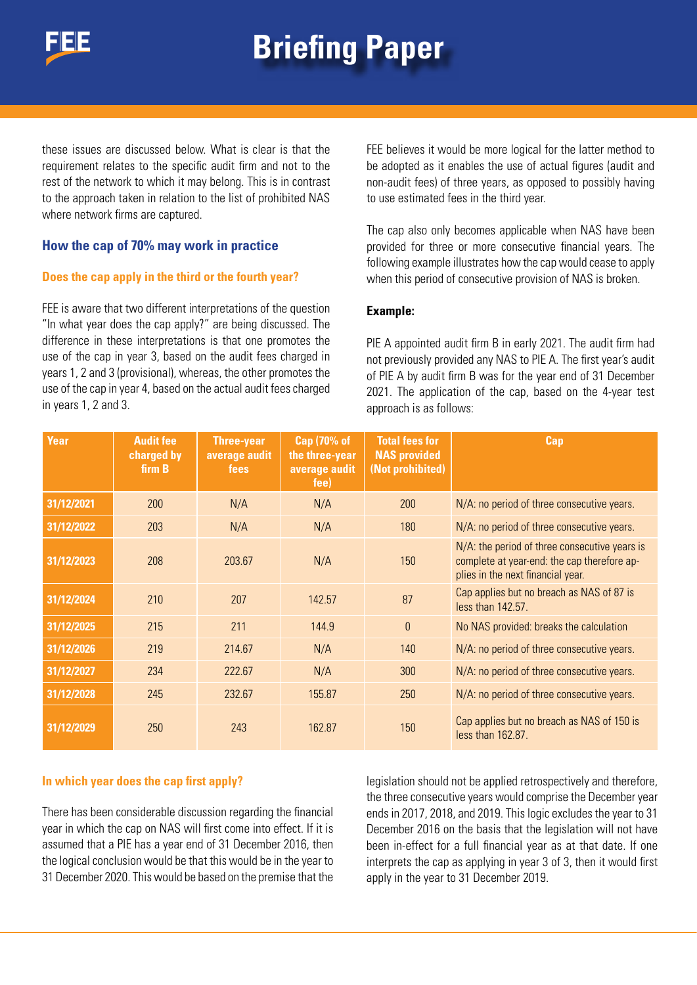

these issues are discussed below. What is clear is that the requirement relates to the specific audit firm and not to the rest of the network to which it may belong. This is in contrast to the approach taken in relation to the list of prohibited NAS where network firms are captured.

#### **How the cap of 70% may work in practice**

#### **Does the cap apply in the third or the fourth year?**

FEE is aware that two different interpretations of the question "In what year does the cap apply?" are being discussed. The difference in these interpretations is that one promotes the use of the cap in year 3, based on the audit fees charged in years 1, 2 and 3 (provisional), whereas, the other promotes the use of the cap in year 4, based on the actual audit fees charged in years 1, 2 and 3.

FEE believes it would be more logical for the latter method to be adopted as it enables the use of actual figures (audit and non-audit fees) of three years, as opposed to possibly having to use estimated fees in the third year.

The cap also only becomes applicable when NAS have been provided for three or more consecutive financial years. The following example illustrates how the cap would cease to apply when this period of consecutive provision of NAS is broken.

#### **Example:**

PIE A appointed audit firm B in early 2021. The audit firm had not previously provided any NAS to PIE A. The first year's audit of PIE A by audit firm B was for the year end of 31 December 2021. The application of the cap, based on the 4-year test approach is as follows:

| <b>Year</b> | <b>Audit fee</b><br>charged by<br>firm B | Three-year<br>average audit<br>fees | <b>Cap (70% of</b><br>the three-year<br>average audit<br>fee) | <b>Total fees for</b><br><b>NAS provided</b><br>(Not prohibited) | Cap                                                                                                                                  |
|-------------|------------------------------------------|-------------------------------------|---------------------------------------------------------------|------------------------------------------------------------------|--------------------------------------------------------------------------------------------------------------------------------------|
| 31/12/2021  | 200                                      | N/A                                 | N/A                                                           | 200                                                              | N/A: no period of three consecutive years.                                                                                           |
| 31/12/2022  | 203                                      | N/A                                 | N/A                                                           | 180                                                              | N/A: no period of three consecutive years.                                                                                           |
| 31/12/2023  | 208                                      | 203.67                              | N/A                                                           | 150                                                              | $N/A$ : the period of three consecutive years is<br>complete at year-end: the cap therefore ap-<br>plies in the next financial year. |
| 31/12/2024  | 210                                      | 207                                 | 142.57                                                        | 87                                                               | Cap applies but no breach as NAS of 87 is<br>less than 142.57.                                                                       |
| 31/12/2025  | 215                                      | 211                                 | 144.9                                                         | $\mathbf{0}$                                                     | No NAS provided: breaks the calculation                                                                                              |
| 31/12/2026  | 219                                      | 214.67                              | N/A                                                           | 140                                                              | N/A: no period of three consecutive years.                                                                                           |
| 31/12/2027  | 234                                      | 222.67                              | N/A                                                           | 300                                                              | N/A: no period of three consecutive years.                                                                                           |
| 31/12/2028  | 245                                      | 232.67                              | 155.87                                                        | 250                                                              | N/A: no period of three consecutive years.                                                                                           |
| 31/12/2029  | 250                                      | 243                                 | 162.87                                                        | 150                                                              | Cap applies but no breach as NAS of 150 is<br>less than 162.87.                                                                      |

#### **In which year does the cap first apply?**

There has been considerable discussion regarding the financial year in which the cap on NAS will first come into effect. If it is assumed that a PIE has a year end of 31 December 2016, then the logical conclusion would be that this would be in the year to 31 December 2020. This would be based on the premise that the

legislation should not be applied retrospectively and therefore, the three consecutive years would comprise the December year ends in 2017, 2018, and 2019. This logic excludes the year to 31 December 2016 on the basis that the legislation will not have been in-effect for a full financial year as at that date. If one interprets the cap as applying in year 3 of 3, then it would first apply in the year to 31 December 2019.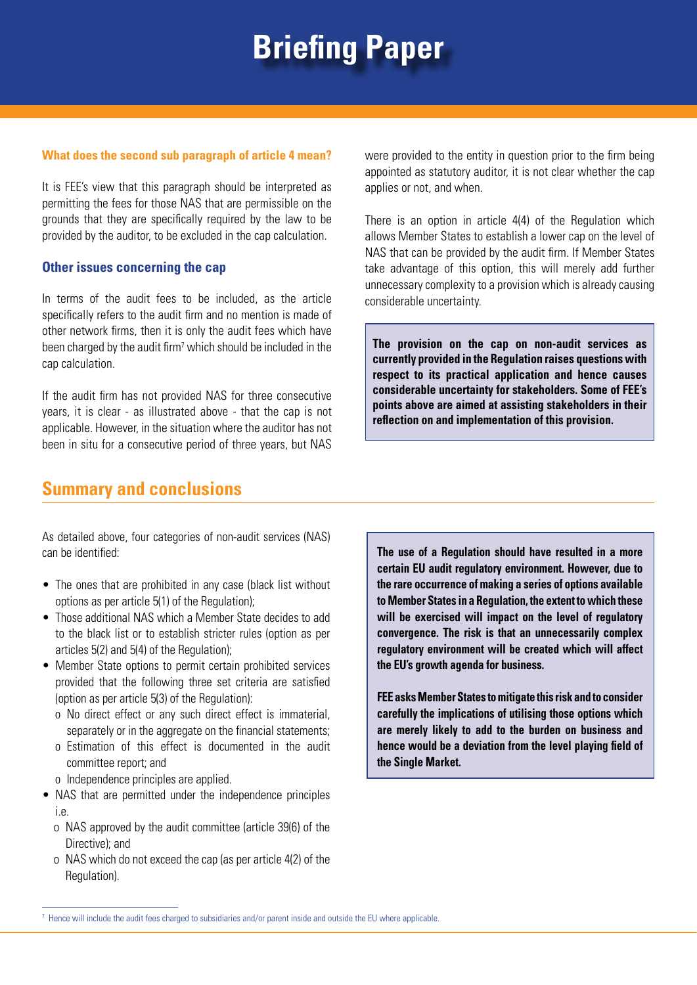#### **What does the second sub paragraph of article 4 mean?**

It is FEE's view that this paragraph should be interpreted as permitting the fees for those NAS that are permissible on the grounds that they are specifically required by the law to be provided by the auditor, to be excluded in the cap calculation.

#### **Other issues concerning the cap**

In terms of the audit fees to be included, as the article specifically refers to the audit firm and no mention is made of other network firms, then it is only the audit fees which have been charged by the audit firm<sup>7</sup> which should be included in the cap calculation.

If the audit firm has not provided NAS for three consecutive years, it is clear - as illustrated above - that the cap is not applicable. However, in the situation where the auditor has not been in situ for a consecutive period of three years, but NAS

#### **Summary and conclusions**

were provided to the entity in question prior to the firm being appointed as statutory auditor, it is not clear whether the cap applies or not, and when.

There is an option in article 4(4) of the Regulation which allows Member States to establish a lower cap on the level of NAS that can be provided by the audit firm. If Member States take advantage of this option, this will merely add further unnecessary complexity to a provision which is already causing considerable uncertainty.

**The provision on the cap on non-audit services as currently provided in the Regulation raises questions with respect to its practical application and hence causes considerable uncertainty for stakeholders. Some of FEE's points above are aimed at assisting stakeholders in their reflection on and implementation of this provision.**

As detailed above, four categories of non-audit services (NAS) can be identified:

- The ones that are prohibited in any case (black list without options as per article 5(1) of the Regulation);
- Those additional NAS which a Member State decides to add to the black list or to establish stricter rules (option as per articles 5(2) and 5(4) of the Regulation);
- Member State options to permit certain prohibited services provided that the following three set criteria are satisfied (option as per article 5(3) of the Regulation):
	- o No direct effect or any such direct effect is immaterial, separately or in the aggregate on the financial statements;
	- o Estimation of this effect is documented in the audit committee report; and
	- o Independence principles are applied.
- NAS that are permitted under the independence principles i.e.
	- o NAS approved by the audit committee (article 39(6) of the Directive); and
	- o NAS which do not exceed the cap (as per article 4(2) of the Regulation).

**The use of a Regulation should have resulted in a more certain EU audit regulatory environment. However, due to the rare occurrence of making a series of options available to Member States in a Regulation, the extent to which these will be exercised will impact on the level of regulatory convergence. The risk is that an unnecessarily complex regulatory environment will be created which will affect the EU's growth agenda for business.** 

**FEE asks Member States to mitigate this risk and to consider carefully the implications of utilising those options which are merely likely to add to the burden on business and hence would be a deviation from the level playing field of the Single Market.**

<sup>7</sup> Hence will include the audit fees charged to subsidiaries and/or parent inside and outside the EU where applicable.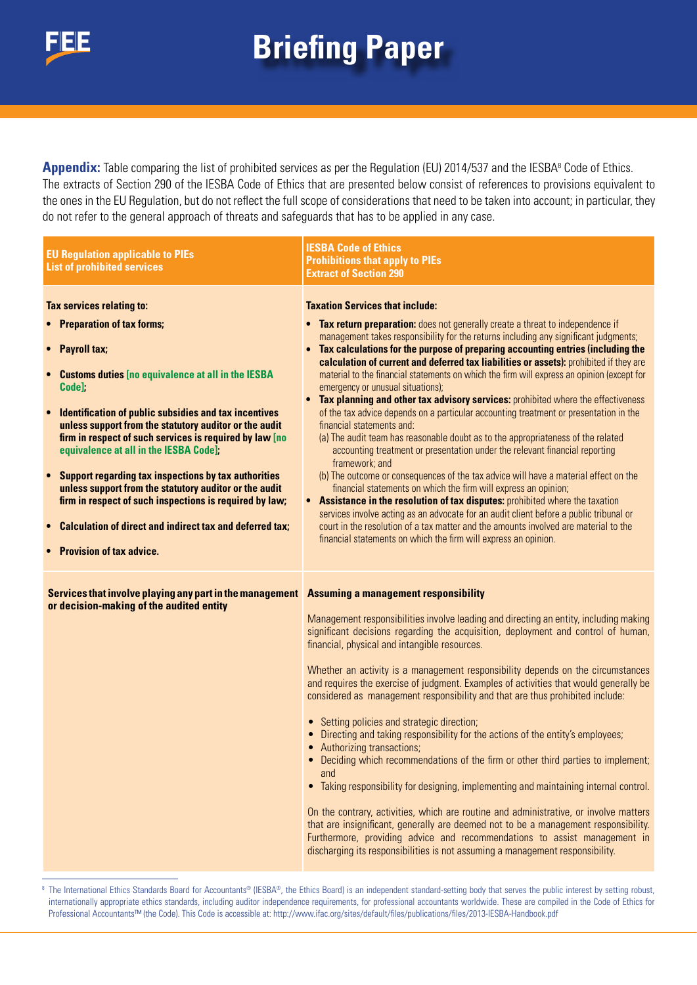

Appendix: Table comparing the list of prohibited services as per the Regulation (EU) 2014/537 and the IESBA<sup>8</sup> Code of Ethics. The extracts of Section 290 of the IESBA Code of Ethics that are presented below consist of references to provisions equivalent to the ones in the EU Regulation, but do not reflect the full scope of considerations that need to be taken into account; in particular, they do not refer to the general approach of threats and safeguards that has to be applied in any case.

| <b>EU Regulation applicable to PIEs</b><br><b>List of prohibited services</b>                                                                                                                                                                                                                                                                                                                                                                                                                                                                                                                                                                                                                                                                        | <b>IESBA Code of Ethics</b><br><b>Prohibitions that apply to PIEs</b><br><b>Extract of Section 290</b>                                                                                                                                                                                                                                                                                                                                                                                                                                                                                                                                                                                                                                                                                                                                                                                                                                                                                                                                                                                                                                                                                                                                                                                                                                                                                                                            |
|------------------------------------------------------------------------------------------------------------------------------------------------------------------------------------------------------------------------------------------------------------------------------------------------------------------------------------------------------------------------------------------------------------------------------------------------------------------------------------------------------------------------------------------------------------------------------------------------------------------------------------------------------------------------------------------------------------------------------------------------------|-----------------------------------------------------------------------------------------------------------------------------------------------------------------------------------------------------------------------------------------------------------------------------------------------------------------------------------------------------------------------------------------------------------------------------------------------------------------------------------------------------------------------------------------------------------------------------------------------------------------------------------------------------------------------------------------------------------------------------------------------------------------------------------------------------------------------------------------------------------------------------------------------------------------------------------------------------------------------------------------------------------------------------------------------------------------------------------------------------------------------------------------------------------------------------------------------------------------------------------------------------------------------------------------------------------------------------------------------------------------------------------------------------------------------------------|
| <b>Tax services relating to:</b><br><b>Preparation of tax forms;</b><br><b>Payroll tax;</b><br>$\bullet$<br><b>Customs duties [no equivalence at all in the IESBA</b><br>$\bullet$<br>Code]<br><b>Identification of public subsidies and tax incentives</b><br>$\bullet$<br>unless support from the statutory auditor or the audit<br>firm in respect of such services is required by law [no<br>equivalence at all in the IESBA Code];<br><b>Support regarding tax inspections by tax authorities</b><br>$\bullet$<br>unless support from the statutory auditor or the audit<br>firm in respect of such inspections is required by law;<br>Calculation of direct and indirect tax and deferred tax;<br>$\bullet$<br><b>Provision of tax advice.</b> | <b>Taxation Services that include:</b><br>Tax return preparation: does not generally create a threat to independence if<br>management takes responsibility for the returns including any significant judgments;<br>• Tax calculations for the purpose of preparing accounting entries (including the<br>calculation of current and deferred tax liabilities or assets): prohibited if they are<br>material to the financial statements on which the firm will express an opinion (except for<br>emergency or unusual situations);<br>• Tax planning and other tax advisory services: prohibited where the effectiveness<br>of the tax advice depends on a particular accounting treatment or presentation in the<br>financial statements and:<br>(a) The audit team has reasonable doubt as to the appropriateness of the related<br>accounting treatment or presentation under the relevant financial reporting<br>framework; and<br>(b) The outcome or consequences of the tax advice will have a material effect on the<br>financial statements on which the firm will express an opinion;<br>Assistance in the resolution of tax disputes: prohibited where the taxation<br>services involve acting as an advocate for an audit client before a public tribunal or<br>court in the resolution of a tax matter and the amounts involved are material to the<br>financial statements on which the firm will express an opinion. |
| Services that involve playing any part in the management Assuming a management responsibility<br>or decision-making of the audited entity                                                                                                                                                                                                                                                                                                                                                                                                                                                                                                                                                                                                            | Management responsibilities involve leading and directing an entity, including making<br>significant decisions regarding the acquisition, deployment and control of human,<br>financial, physical and intangible resources.<br>Whether an activity is a management responsibility depends on the circumstances<br>and requires the exercise of judgment. Examples of activities that would generally be<br>considered as management responsibility and that are thus prohibited include:<br>• Setting policies and strategic direction;<br>Directing and taking responsibility for the actions of the entity's employees;<br>Authorizing transactions;<br>Deciding which recommendations of the firm or other third parties to implement;<br>and<br>• Taking responsibility for designing, implementing and maintaining internal control.<br>On the contrary, activities, which are routine and administrative, or involve matters<br>that are insignificant, generally are deemed not to be a management responsibility.<br>Furthermore, providing advice and recommendations to assist management in<br>discharging its responsibilities is not assuming a management responsibility.                                                                                                                                                                                                                                           |

<sup>&</sup>lt;sup>8</sup> The International Ethics Standards Board for Accountants® (IESBA®, the Ethics Board) is an independent standard-setting body that serves the public interest by setting robust, internationally appropriate ethics standards, including auditor independence requirements, for professional accountants worldwide. These are compiled in the Code of Ethics for Professional Accountants™ (the Code). This Code is accessible at: http://www.ifac.org/sites/default/files/publications/files/2013-IESBA-Handbook.pdf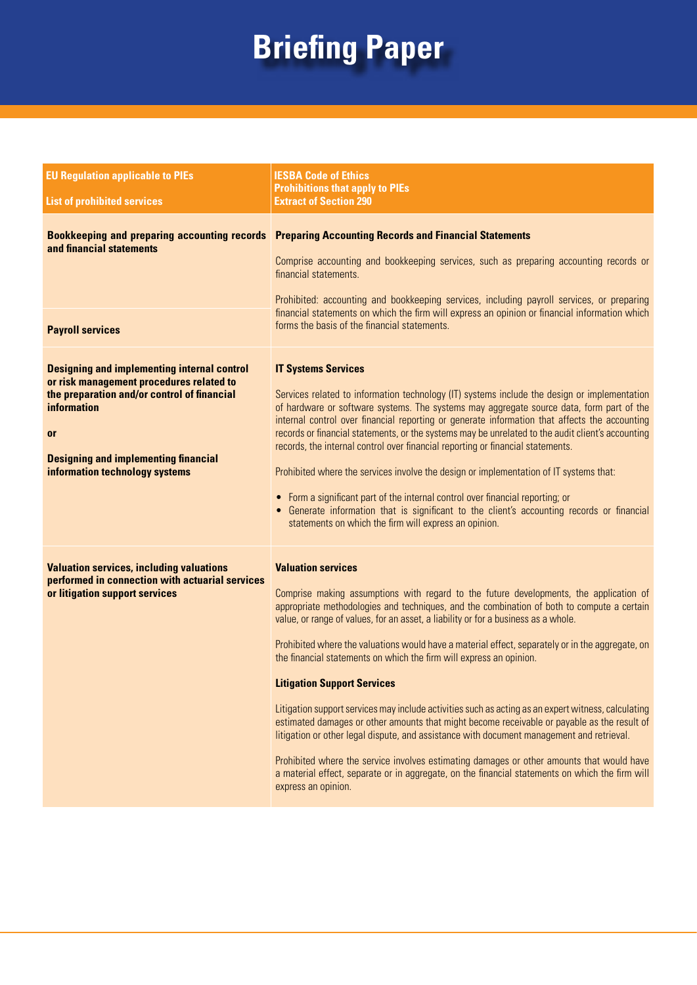| <b>EU Regulation applicable to PIEs</b>                                                                                                                                                                                                                           | <b>IESBA Code of Ethics</b><br><b>Prohibitions that apply to PIEs</b>                                                                                                                                                                                                                                                                                                                                                                                                                                                                                                                                                                                                                                                                                                                                                                                                                                                                                                                                                                              |  |
|-------------------------------------------------------------------------------------------------------------------------------------------------------------------------------------------------------------------------------------------------------------------|----------------------------------------------------------------------------------------------------------------------------------------------------------------------------------------------------------------------------------------------------------------------------------------------------------------------------------------------------------------------------------------------------------------------------------------------------------------------------------------------------------------------------------------------------------------------------------------------------------------------------------------------------------------------------------------------------------------------------------------------------------------------------------------------------------------------------------------------------------------------------------------------------------------------------------------------------------------------------------------------------------------------------------------------------|--|
| <b>List of prohibited services</b>                                                                                                                                                                                                                                | <b>Extract of Section 290</b>                                                                                                                                                                                                                                                                                                                                                                                                                                                                                                                                                                                                                                                                                                                                                                                                                                                                                                                                                                                                                      |  |
| <b>Bookkeeping and preparing accounting records</b><br>and financial statements<br><b>Payroll services</b>                                                                                                                                                        | <b>Preparing Accounting Records and Financial Statements</b><br>Comprise accounting and bookkeeping services, such as preparing accounting records or<br>financial statements.<br>Prohibited: accounting and bookkeeping services, including payroll services, or preparing<br>financial statements on which the firm will express an opinion or financial information which<br>forms the basis of the financial statements.                                                                                                                                                                                                                                                                                                                                                                                                                                                                                                                                                                                                                       |  |
| <b>Designing and implementing internal control</b><br>or risk management procedures related to<br>the preparation and/or control of financial<br><b>information</b><br><b>or</b><br><b>Designing and implementing financial</b><br>information technology systems | <b>IT Systems Services</b><br>Services related to information technology (IT) systems include the design or implementation<br>of hardware or software systems. The systems may aggregate source data, form part of the<br>internal control over financial reporting or generate information that affects the accounting<br>records or financial statements, or the systems may be unrelated to the audit client's accounting<br>records, the internal control over financial reporting or financial statements.<br>Prohibited where the services involve the design or implementation of IT systems that:<br>• Form a significant part of the internal control over financial reporting; or<br>• Generate information that is significant to the client's accounting records or financial<br>statements on which the firm will express an opinion.                                                                                                                                                                                                 |  |
| <b>Valuation services, including valuations</b><br>performed in connection with actuarial services<br>or litigation support services                                                                                                                              | <b>Valuation services</b><br>Comprise making assumptions with regard to the future developments, the application of<br>appropriate methodologies and techniques, and the combination of both to compute a certain<br>value, or range of values, for an asset, a liability or for a business as a whole.<br>Prohibited where the valuations would have a material effect, separately or in the aggregate, on<br>the financial statements on which the firm will express an opinion.<br><b>Litigation Support Services</b><br>Litigation support services may include activities such as acting as an expert witness, calculating<br>estimated damages or other amounts that might become receivable or payable as the result of<br>litigation or other legal dispute, and assistance with document management and retrieval.<br>Prohibited where the service involves estimating damages or other amounts that would have<br>a material effect, separate or in aggregate, on the financial statements on which the firm will<br>express an opinion. |  |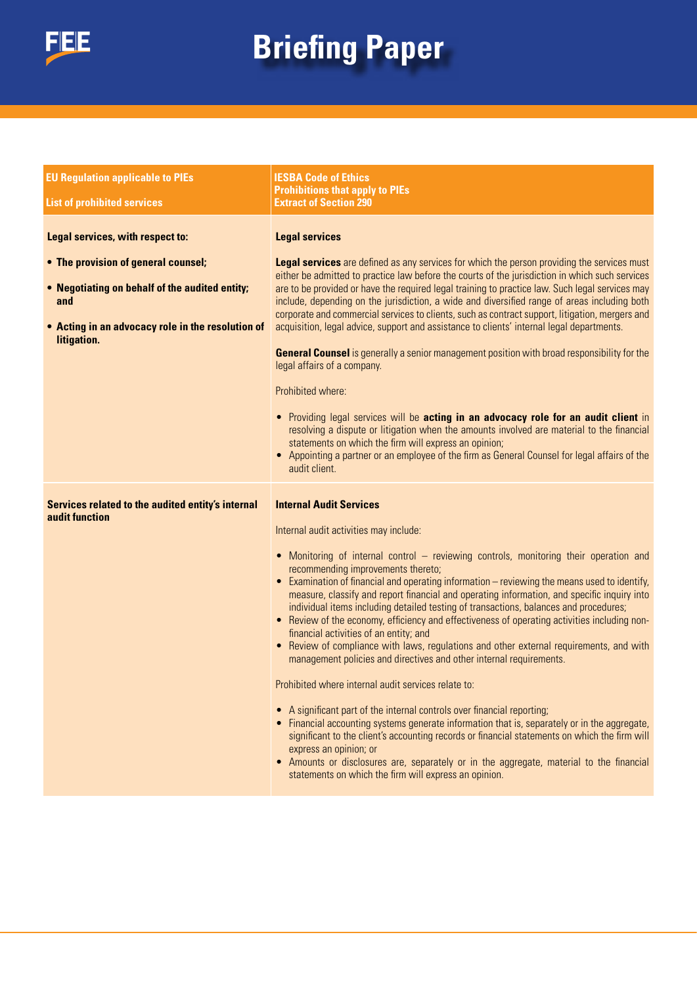

| <b>EU Regulation applicable to PIEs</b>                                                                                                                                                              | <b>IESBA Code of Ethics</b>                                                                                                                                                                                                                                                                                                                                                                                                                                                                                                                                                                                                                                                                                                                                                                                                                                                                                                                                                                                                                                                                                                                                                                                                                                                                                              |  |
|------------------------------------------------------------------------------------------------------------------------------------------------------------------------------------------------------|--------------------------------------------------------------------------------------------------------------------------------------------------------------------------------------------------------------------------------------------------------------------------------------------------------------------------------------------------------------------------------------------------------------------------------------------------------------------------------------------------------------------------------------------------------------------------------------------------------------------------------------------------------------------------------------------------------------------------------------------------------------------------------------------------------------------------------------------------------------------------------------------------------------------------------------------------------------------------------------------------------------------------------------------------------------------------------------------------------------------------------------------------------------------------------------------------------------------------------------------------------------------------------------------------------------------------|--|
| <b>List of prohibited services</b>                                                                                                                                                                   | <b>Prohibitions that apply to PIEs</b><br><b>Extract of Section 290</b>                                                                                                                                                                                                                                                                                                                                                                                                                                                                                                                                                                                                                                                                                                                                                                                                                                                                                                                                                                                                                                                                                                                                                                                                                                                  |  |
| Legal services, with respect to:<br>• The provision of general counsel;<br>• Negotiating on behalf of the audited entity;<br>and<br>• Acting in an advocacy role in the resolution of<br>litigation. | <b>Legal services</b><br>Legal services are defined as any services for which the person providing the services must<br>either be admitted to practice law before the courts of the jurisdiction in which such services<br>are to be provided or have the required legal training to practice law. Such legal services may<br>include, depending on the jurisdiction, a wide and diversified range of areas including both<br>corporate and commercial services to clients, such as contract support, litigation, mergers and<br>acquisition, legal advice, support and assistance to clients' internal legal departments.<br>General Counsel is generally a senior management position with broad responsibility for the<br>legal affairs of a company.<br>Prohibited where:<br>• Providing legal services will be acting in an advocacy role for an audit client in<br>resolving a dispute or litigation when the amounts involved are material to the financial<br>statements on which the firm will express an opinion;<br>• Appointing a partner or an employee of the firm as General Counsel for legal affairs of the<br>audit client.                                                                                                                                                                            |  |
| Services related to the audited entity's internal<br>audit function                                                                                                                                  | <b>Internal Audit Services</b><br>Internal audit activities may include:<br>• Monitoring of internal control – reviewing controls, monitoring their operation and<br>recommending improvements thereto;<br>• Examination of financial and operating information – reviewing the means used to identify,<br>measure, classify and report financial and operating information, and specific inquiry into<br>individual items including detailed testing of transactions, balances and procedures;<br>• Review of the economy, efficiency and effectiveness of operating activities including non-<br>financial activities of an entity; and<br>Review of compliance with laws, regulations and other external requirements, and with<br>management policies and directives and other internal requirements.<br>Prohibited where internal audit services relate to:<br>A significant part of the internal controls over financial reporting;<br>• Financial accounting systems generate information that is, separately or in the aggregate,<br>significant to the client's accounting records or financial statements on which the firm will<br>express an opinion; or<br>• Amounts or disclosures are, separately or in the aggregate, material to the financial<br>statements on which the firm will express an opinion. |  |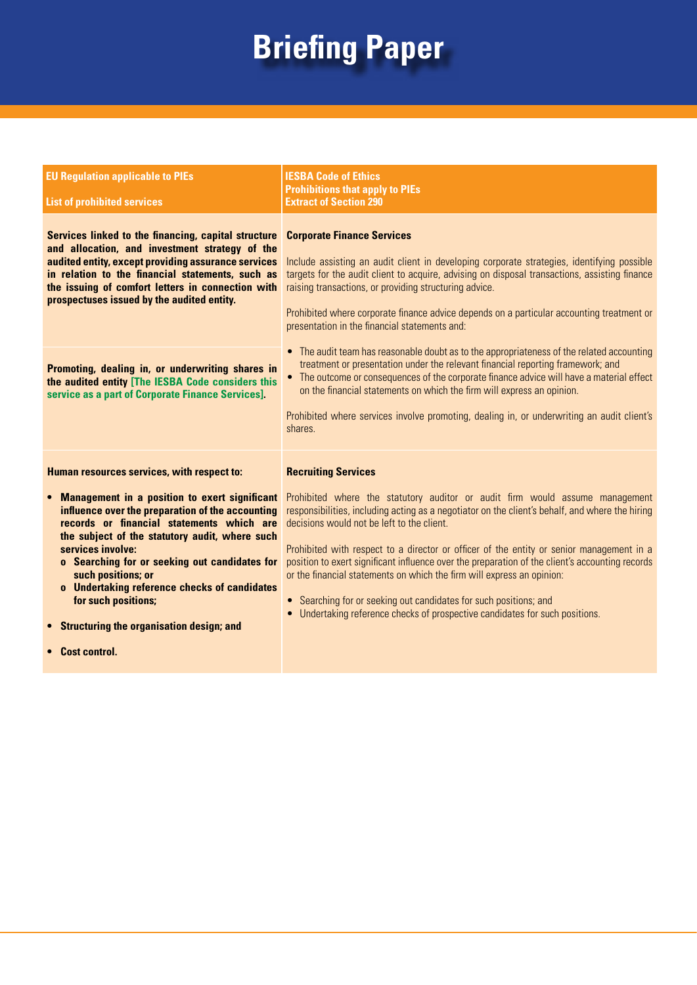| <b>EU Regulation applicable to PIEs</b><br><b>List of prohibited services</b>                                                                                                                                                                                                                                                                                                                                                                                                                         | <b>IESBA Code of Ethics</b><br><b>Prohibitions that apply to PIEs</b><br><b>Extract of Section 290</b>                                                                                                                                                                                                                                                                                                                                                                                                                                                                                                                                                                                                                                                                                                                                                                                                   |
|-------------------------------------------------------------------------------------------------------------------------------------------------------------------------------------------------------------------------------------------------------------------------------------------------------------------------------------------------------------------------------------------------------------------------------------------------------------------------------------------------------|----------------------------------------------------------------------------------------------------------------------------------------------------------------------------------------------------------------------------------------------------------------------------------------------------------------------------------------------------------------------------------------------------------------------------------------------------------------------------------------------------------------------------------------------------------------------------------------------------------------------------------------------------------------------------------------------------------------------------------------------------------------------------------------------------------------------------------------------------------------------------------------------------------|
| Services linked to the financing, capital structure<br>and allocation, and investment strategy of the<br>audited entity, except providing assurance services<br>in relation to the financial statements, such as<br>the issuing of comfort letters in connection with<br>prospectuses issued by the audited entity.<br>Promoting, dealing in, or underwriting shares in<br>the audited entity [The IESBA Code considers this<br>service as a part of Corporate Finance Services].                     | <b>Corporate Finance Services</b><br>Include assisting an audit client in developing corporate strategies, identifying possible<br>targets for the audit client to acquire, advising on disposal transactions, assisting finance<br>raising transactions, or providing structuring advice.<br>Prohibited where corporate finance advice depends on a particular accounting treatment or<br>presentation in the financial statements and:<br>• The audit team has reasonable doubt as to the appropriateness of the related accounting<br>treatment or presentation under the relevant financial reporting framework; and<br>• The outcome or consequences of the corporate finance advice will have a material effect<br>on the financial statements on which the firm will express an opinion.<br>Prohibited where services involve promoting, dealing in, or underwriting an audit client's<br>shares. |
| Human resources services, with respect to:<br><b>Management in a position to exert significant</b><br>$\bullet$<br>influence over the preparation of the accounting<br>records or financial statements which are<br>the subject of the statutory audit, where such<br>services involve:<br>o Searching for or seeking out candidates for<br>such positions; or<br>o Undertaking reference checks of candidates<br>for such positions;<br><b>Structuring the organisation design; and</b><br>$\bullet$ | <b>Recruiting Services</b><br>Prohibited where the statutory auditor or audit firm would assume management<br>responsibilities, including acting as a negotiator on the client's behalf, and where the hiring<br>decisions would not be left to the client.<br>Prohibited with respect to a director or officer of the entity or senior management in a<br>position to exert significant influence over the preparation of the client's accounting records<br>or the financial statements on which the firm will express an opinion:<br>Searching for or seeking out candidates for such positions; and<br>$\bullet$<br>Undertaking reference checks of prospective candidates for such positions.                                                                                                                                                                                                       |

**• Cost control.**